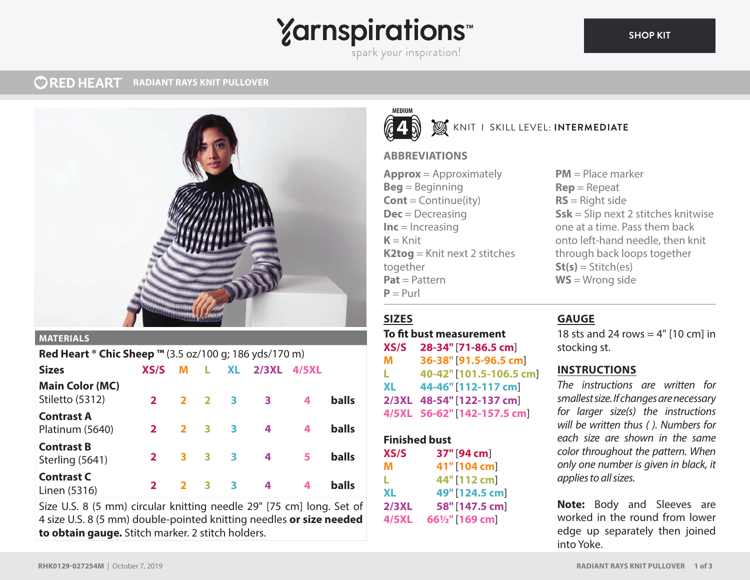## **Yarnspirations**

spark your inspiration!

#### **ORED HEART RADIANT RAYS KNIT PULLOVER**



## **MATERIALS**

| Red Heart $\textdegree$ Chic Sheep $\text{TM}$ (3.5 oz/100 g; 186 yds/170 m) |              |                         |    |                            |       |       |              |
|------------------------------------------------------------------------------|--------------|-------------------------|----|----------------------------|-------|-------|--------------|
| <b>Sizes</b>                                                                 | XS/S         | M                       | L. | <b>XL</b>                  | 2/3XL | 4/5XL |              |
| <b>Main Color (MC)</b><br>Stiletto (5312)                                    | $\mathbf{2}$ | $2^{\circ}$             |    | $2 \quad 3$                | 3     | 4     | <b>balls</b> |
| <b>Contrast A</b><br>Platinum (5640)                                         | $\mathbf{2}$ | $\mathbf{2}$            | 3  | $\overline{\phantom{a}}$ 3 | 4     | 4     | <b>balls</b> |
| <b>Contrast B</b><br>Sterling (5641)                                         | $\mathbf{2}$ | 3                       | 3  | 3                          | 4     | 5     | <b>balls</b> |
| <b>Contrast C</b><br>Linen (5316)                                            | $\mathbf{z}$ | $\overline{\mathbf{2}}$ | 3  | 3                          | 4     |       | <b>balls</b> |

Size U.S. 8 (5 mm) circular knitting needle 29" [75 cm] long. Set of 4 size U.S. 8 (5 mm) double-pointed knitting needles **or size needed to obtain gauge.** Stitch marker. 2 stitch holders.



## **W** KNIT I SKILL LEVEL: INTERMEDIATE

## **ABBREVIATIONS**

**Approx** = Approximately **Beg** = Beginning **Cont** = Continue(ity) **Dec** = Decreasing **Inc** = Increasing  $K =$ Knit **K2tog** = Knit next 2 stitches together **Pat** = Pattern  $P = Purl$ 

## **SIZES**

**To fit bust measurement XS/S 28-34"** [**71-86.5 cm**] **M 36-38"** [**91.5-96.5 cm**] **L 40-42"** [**101.5-106.5 cm**] **XL 44-46"** [**112-117 cm**] **2/3XL 48-54"** [**122-137 cm**] **4/5XL 56-62"** [**142-157.5 cm**]

| <b>Finished bust</b> |                 |  |  |  |
|----------------------|-----------------|--|--|--|
| XS/S                 | 37" [94 cm]     |  |  |  |
| м                    | 41"[104 cm]     |  |  |  |
| ш                    | 44" [112 cm]    |  |  |  |
| <b>XL</b>            | 49" [124.5 cm]  |  |  |  |
| 2/3XL                | 58" [147.5 cm]  |  |  |  |
| <b>4/5XL</b>         | 661/2" [169 cm] |  |  |  |

**PM** = Place marker **Rep** = Repeat **RS** = Right side **Ssk** = Slip next 2 stitches knitwise one at a time. Pass them back onto left-hand needle, then knit through back loops together  $St(s) = Stitch(es)$ **WS** = Wrong side

## **GAUGE**

18 sts and 24 rows  $=$  4" [10 cm] in stocking st.

## **INSTRUCTIONS**

*The instructions are written for smallest size. If changes are necessary for larger size(s) the instructions will be written thus ( ). Numbers for each size are shown in the same color throughout the pattern. When only one number is given in black, it applies to all sizes.* 

**Note:** Body and Sleeves are worked in the round from lower edge up separately then joined into Yoke.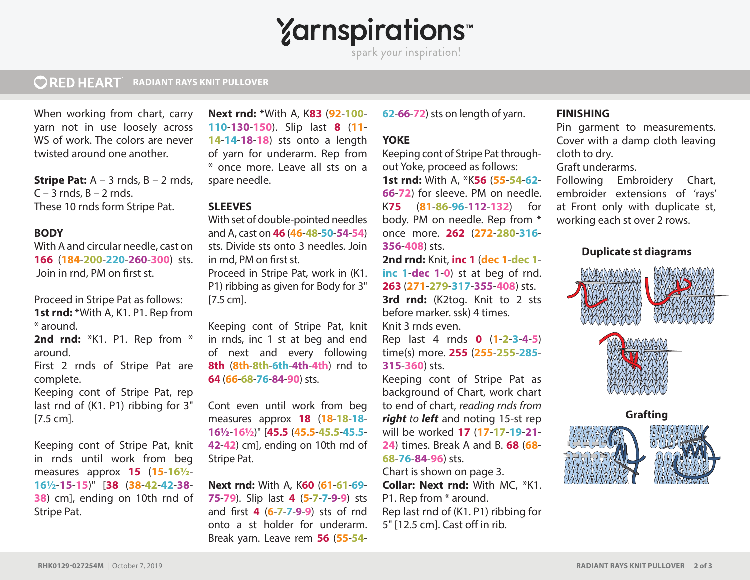**Yarnspirations** 

spark your inspiration!

#### **ORED HEART RADIANT RAYS KNIT PULLOVER**

When working from chart, carry yarn not in use loosely across WS of work. The colors are never twisted around one another.

**Stripe Pat:** A – 3 rnds, B – 2 rnds,  $C - 3$  rnds,  $B - 2$  rnds. These 10 rnds form Stripe Pat.

## **BODY**

With A and circular needle, cast on **166** (**184**-**200**-**220**-**260**-**300**) sts. Join in rnd, PM on first st.

Proceed in Stripe Pat as follows: 1st rnd: \*With A, K1. P1. Rep from \* around.

**2nd rnd:** \*K1. P1. Rep from \* around.

First 2 rnds of Stripe Pat are complete.

Keeping cont of Stripe Pat, rep last rnd of (K1. P1) ribbing for 3" [7.5 cm].

Keeping cont of Stripe Pat, knit in rnds until work from beg measures approx **15** (**15**-**16½**- **16½**-**15**-**15**)" [**38** (**38**-**42**-**42**-**38**- **38**) cm], ending on 10th rnd of Stripe Pat.

**Next rnd:** \*With A, K**83** (**92**-**100**- **110**-**130**-**150**). Slip last **8** (**11**- **14**-**14**-**18**-**18**) sts onto a length of yarn for underarm. Rep from \* once more. Leave all sts on a spare needle.

## **SLEEVES**

With set of double-pointed needles and A, cast on **46** (**46**-**48**-**50**-**54**-**54**) sts. Divide sts onto 3 needles. Join in rnd. PM on first st.

Proceed in Stripe Pat, work in (K1. P1) ribbing as given for Body for 3" [7.5 cm].

Keeping cont of Stripe Pat, knit in rnds, inc 1 st at beg and end of next and every following **8th** (**8th**-**8th**-**6th**-**4th**-**4th**) rnd to **64** (**66**-**68**-**76**-**84**-**90**) sts.

Cont even until work from beg measures approx **18** (**18**-**18**-**18**- **16½**-**16½**)" [**45.5** (**45.5**-**45.5**-**45.5**- **42**-**42**) cm], ending on 10th rnd of Stripe Pat.

**Next rnd:** With A, K**60** (**61**-**61**-**69**- **75**-**79**). Slip last **4** (**5**-**7**-**7**-**9**-**9**) sts and first **4** (6-7-7-9-9) sts of rnd onto a st holder for underarm. Break yarn. Leave rem **56** (**55**-**54**- **62**-**66**-**72**) sts on length of yarn.

## **YOKE**

Keeping cont of Stripe Pat throughout Yoke, proceed as follows: **1st rnd:** With A, \*K**56** (**55**-**54**-**62**- **66**-**72**) for sleeve. PM on needle. K**75** (**81**-**86**-**96**-**112**-**132**) for body. PM on needle. Rep from \* once more. **262** (**272**-**280**-**316**- **356**-**408**) sts.

**2nd rnd:** Knit, **inc 1** (**dec 1**-**dec 1 inc 1**-**dec 1**-**0**) st at beg of rnd. **263** (**271**-**279**-**317**-**355**-**408**) sts. **3rd rnd:** (K2tog. Knit to 2 sts before marker. ssk) 4 times.

Knit 3 rnds even.

Rep last 4 rnds **0** (**1**-**2**-**3**-**4**-**5**) time(s) more. **255** (**255**-**255**-**285**- **315**-**360**) sts.

Keeping cont of Stripe Pat as background of Chart, work chart to end of chart, *reading rnds from right to left* and noting 15-st rep will be worked **17** (**17**-**17**-**19**-**21**- **24**) times. Break A and B. **68** (**68**- **68**-**76**-**84**-**96**) sts.

Chart is shown on page 3. **Collar: Next rnd:** With MC, \*K1. P1. Rep from \* around. Rep last rnd of (K1. P1) ribbing for 5" [12.5 cm]. Cast off in rib.

## **FINISHING**

Pin garment to measurements. Cover with a damp cloth leaving cloth to dry.

Graft underarms.

Following Embroidery Chart, embroider extensions of 'rays' at Front only with duplicate st, working each st over 2 rows.

## **Duplicate st diagrams**